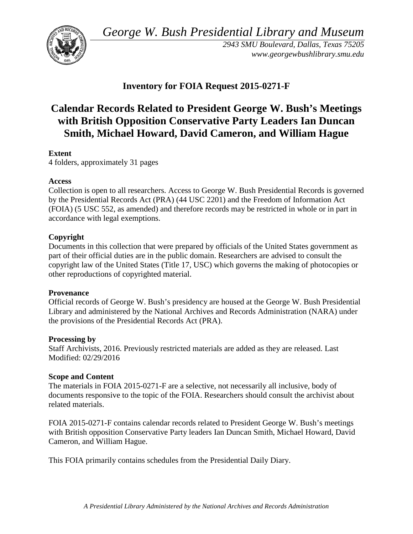*George W. Bush Presidential Library and Museum* 



 *2943 SMU Boulevard, Dallas, Texas 75205 <www.georgewbushlibrary.smu.edu>*

# **Inventory for FOIA Request 2015-0271-F**

# **Calendar Records Related to President George W. Bush's Meetings with British Opposition Conservative Party Leaders Ian Duncan Smith, Michael Howard, David Cameron, and William Hague**

## **Extent**

4 folders, approximately 31 pages

#### **Access**

 by the Presidential Records Act (PRA) (44 USC 2201) and the Freedom of Information Act Collection is open to all researchers. Access to George W. Bush Presidential Records is governed (FOIA) (5 USC 552, as amended) and therefore records may be restricted in whole or in part in accordance with legal exemptions.

### **Copyright**

 Documents in this collection that were prepared by officials of the United States government as part of their official duties are in the public domain. Researchers are advised to consult the copyright law of the United States (Title 17, USC) which governs the making of photocopies or other reproductions of copyrighted material.

#### **Provenance**

 Official records of George W. Bush's presidency are housed at the George W. Bush Presidential Library and administered by the National Archives and Records Administration (NARA) under the provisions of the Presidential Records Act (PRA).

#### **Processing by**

 Modified: 02/29/2016 Staff Archivists, 2016. Previously restricted materials are added as they are released. Last

#### **Scope and Content**

The materials in FOIA 2015-0271-F are a selective, not necessarily all inclusive, body of documents responsive to the topic of the FOIA. Researchers should consult the archivist about related materials.

 FOIA 2015-0271-F contains calendar records related to President George W. Bush's meetings Cameron, and William Hague. with British opposition Conservative Party leaders Ian Duncan Smith, Michael Howard, David

Cameron, and William Hague.<br>This FOIA primarily contains schedules from the Presidential Daily Diary.